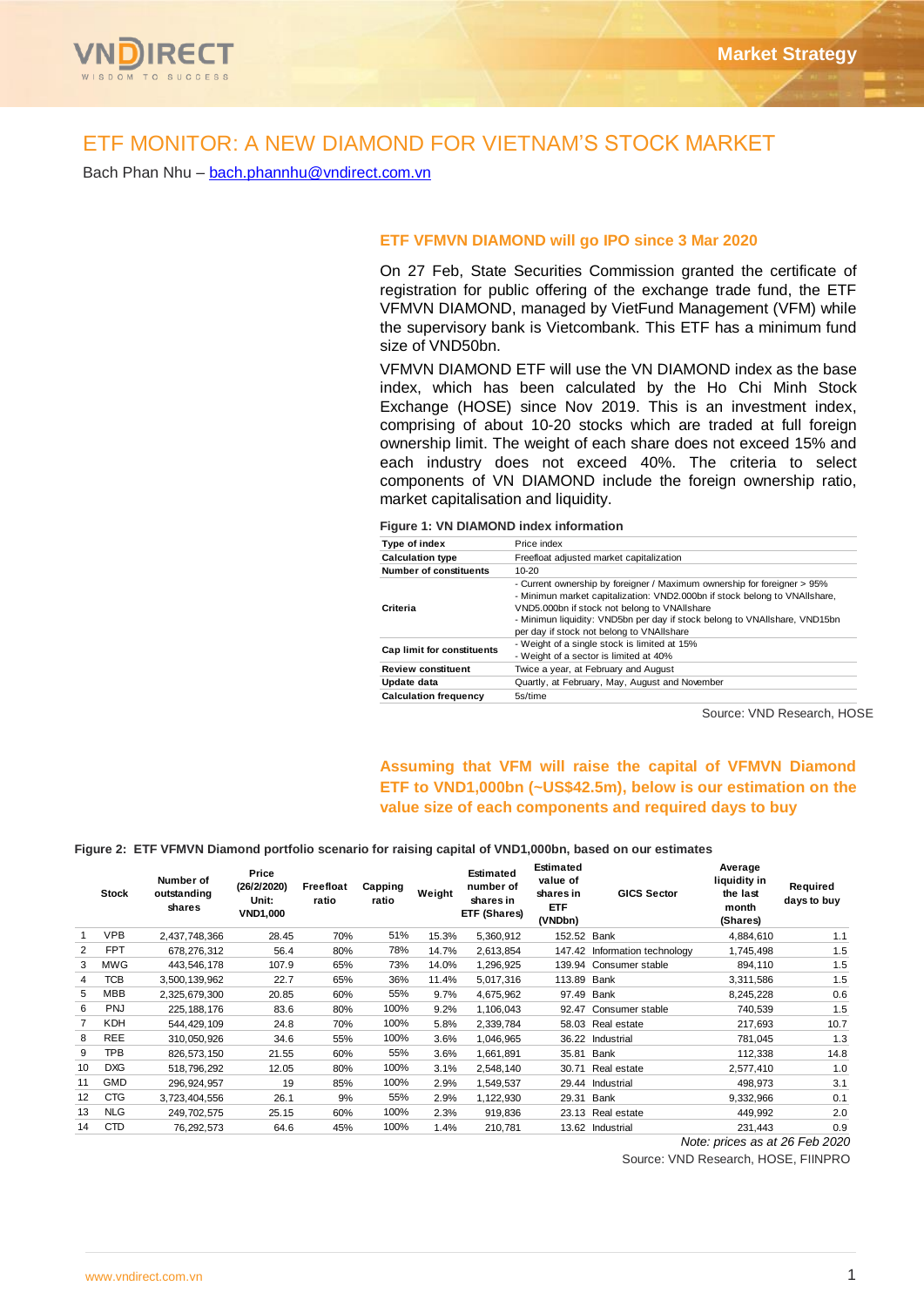

# ETF MONITOR: A NEW DIAMOND FOR VIETNAM'S STOCK MARKET

Bach Phan Nhu – [bach.phannhu@vndirect.com.vn](mailto:bach.phannhu@vndirect.com.vn)

#### **ETF VFMVN DIAMOND will go IPO since 3 Mar 2020**

On 27 Feb, State Securities Commission granted the certificate of registration for public offering of the exchange trade fund, the ETF VFMVN DIAMOND, managed by VietFund Management (VFM) while the supervisory bank is Vietcombank. This ETF has a minimum fund size of VND50bn.

VFMVN DIAMOND ETF will use the VN DIAMOND index as the base index, which has been calculated by the Ho Chi Minh Stock Exchange (HOSE) since Nov 2019. This is an investment index, comprising of about 10-20 stocks which are traded at full foreign ownership limit. The weight of each share does not exceed 15% and each industry does not exceed 40%. The criteria to select components of VN DIAMOND include the foreign ownership ratio, market capitalisation and liquidity.

**Figure 1: VN DIAMOND index information**

| Type of index                 | Price index                                                                                                                                                                                                                                                                                                                       |  |  |  |  |  |
|-------------------------------|-----------------------------------------------------------------------------------------------------------------------------------------------------------------------------------------------------------------------------------------------------------------------------------------------------------------------------------|--|--|--|--|--|
| <b>Calculation type</b>       | Freefloat adjusted market capitalization                                                                                                                                                                                                                                                                                          |  |  |  |  |  |
| <b>Number of constituents</b> | $10-20$                                                                                                                                                                                                                                                                                                                           |  |  |  |  |  |
| Criteria                      | - Current ownership by foreigner / Maximum ownership for foreigner > 95%<br>- Minimun market capitalization: VND2.000bn if stock belong to VNAIIshare,<br>VND5.000bn if stock not belong to VNAIIshare<br>- Minimun liquidity: VND5bn per day if stock belong to VNAIIshare, VND15bn<br>per day if stock not belong to VNAIIshare |  |  |  |  |  |
| Cap limit for constituents    | - Weight of a single stock is limited at 15%<br>- Weight of a sector is limited at 40%                                                                                                                                                                                                                                            |  |  |  |  |  |
| <b>Review constituent</b>     | Twice a year, at February and August                                                                                                                                                                                                                                                                                              |  |  |  |  |  |
| Update data                   | Quartly, at February, May, August and November                                                                                                                                                                                                                                                                                    |  |  |  |  |  |
| <b>Calculation frequency</b>  | 5s/time                                                                                                                                                                                                                                                                                                                           |  |  |  |  |  |

Source: VND Research, HOSE

## **Assuming that VFM will raise the capital of VFMVN Diamond ETF to VND1,000bn (~US\$42.5m), below is our estimation on the value size of each components and required days to buy**

#### **Figure 2: ETF VFMVN Diamond portfolio scenario for raising capital of VND1,000bn, based on our estimates**

|    | <b>Stock</b> | Number of<br>outstanding<br>shares | Price<br>(26/2/2020)<br>Unit:<br>VND1,000 | Freefloat<br>ratio | Capping<br>ratio | Weight | <b>Estimated</b><br>number of<br>shares in<br>ETF (Shares) | <b>Estimated</b><br>value of<br>shares in<br><b>ETF</b><br>(VNDbn) | <b>GICS Sector</b>     | Average<br>liquidity in<br>the last<br>month<br>(Shares) | Required<br>days to buy   |
|----|--------------|------------------------------------|-------------------------------------------|--------------------|------------------|--------|------------------------------------------------------------|--------------------------------------------------------------------|------------------------|----------------------------------------------------------|---------------------------|
|    | <b>VPB</b>   | 2,437,748,366                      | 28.45                                     | 70%                | 51%              | 15.3%  | 5,360,912                                                  | 152.52 Bank                                                        |                        | 4,884,610                                                | 1.1                       |
| 2  | <b>FPT</b>   | 678,276,312                        | 56.4                                      | 80%                | 78%              | 14.7%  | 2,613,854                                                  | 147.42                                                             | Information technology | 1,745,498                                                | 1.5                       |
| 3  | MWG          | 443,546,178                        | 107.9                                     | 65%                | 73%              | 14.0%  | 1,296,925                                                  | 139.94                                                             | Consumer stable        | 894,110                                                  | 1.5                       |
| 4  | <b>TCB</b>   | 3.500.139.962                      | 22.7                                      | 65%                | 36%              | 11.4%  | 5,017,316                                                  | 113.89 Bank                                                        |                        | 3,311,586                                                | 1.5                       |
| 5  | <b>MBB</b>   | 2,325,679,300                      | 20.85                                     | 60%                | 55%              | 9.7%   | 4,675,962                                                  | 97.49                                                              | Bank                   | 8,245,228                                                | 0.6                       |
| 6  | <b>PNJ</b>   | 225.188.176                        | 83.6                                      | 80%                | 100%             | 9.2%   | 1,106,043                                                  | 92.47                                                              | Consumer stable        | 740,539                                                  | 1.5                       |
|    | <b>KDH</b>   | 544,429,109                        | 24.8                                      | 70%                | 100%             | 5.8%   | 2,339,784                                                  |                                                                    | 58.03 Real estate      | 217,693                                                  | 10.7                      |
| 8  | <b>REE</b>   | 310,050,926                        | 34.6                                      | 55%                | 100%             | 3.6%   | 1,046,965                                                  | 36.22                                                              | Industrial             | 781,045                                                  | 1.3                       |
| 9  | <b>TPB</b>   | 826.573.150                        | 21.55                                     | 60%                | 55%              | 3.6%   | 1,661,891                                                  | 35.81                                                              | Bank                   | 112.338                                                  | 14.8                      |
| 10 | <b>DXG</b>   | 518,796,292                        | 12.05                                     | 80%                | 100%             | 3.1%   | 2,548,140                                                  | 30.71                                                              | Real estate            | 2,577,410                                                | 1.0                       |
| 11 | <b>GMD</b>   | 296.924.957                        | 19                                        | 85%                | 100%             | 2.9%   | 1,549,537                                                  | 29.44                                                              | Industrial             | 498,973                                                  | 3.1                       |
| 12 | <b>CTG</b>   | 3.723.404.556                      | 26.1                                      | 9%                 | 55%              | 2.9%   | 1,122,930                                                  | 29.31                                                              | Bank                   | 9,332,966                                                | 0.1                       |
| 13 | <b>NLG</b>   | 249,702,575                        | 25.15                                     | 60%                | 100%             | 2.3%   | 919,836                                                    | 23.13                                                              | Real estate            | 449,992                                                  | 2.0                       |
| 14 | <b>CTD</b>   | 76,292,573                         | 64.6                                      | 45%                | 100%             | 1.4%   | 210,781                                                    |                                                                    | 13.62 Industrial       | 231,443                                                  | 0.9                       |
|    |              |                                    |                                           |                    |                  |        |                                                            |                                                                    |                        | $\cdots$                                                 | $\sim$ $\sim$<br>$\cdots$ |

*Note: prices as at 26 Feb 2020* 

Source: VND Research, HOSE, FIINPRO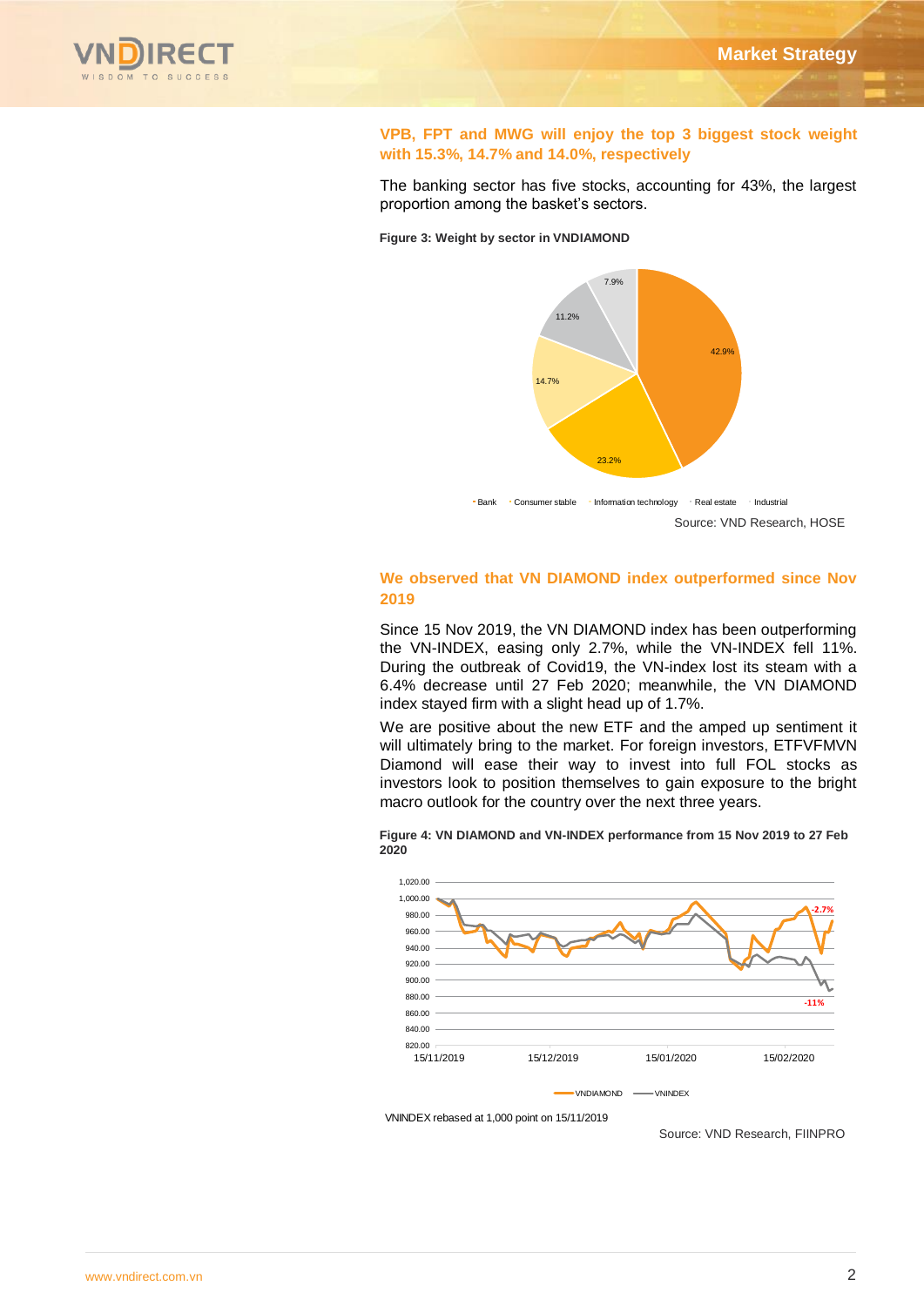

### **VPB, FPT and MWG will enjoy the top 3 biggest stock weight with 15.3%, 14.7% and 14.0%, respectively**

The banking sector has five stocks, accounting for 43%, the largest proportion among the basket's sectors.

**Figure 3: Weight by sector in VNDIAMOND**



### **We observed that VN DIAMOND index outperformed since Nov 2019**

Since 15 Nov 2019, the VN DIAMOND index has been outperforming the VN-INDEX, easing only 2.7%, while the VN-INDEX fell 11%. During the outbreak of Covid19, the VN-index lost its steam with a 6.4% decrease until 27 Feb 2020; meanwhile, the VN DIAMOND index stayed firm with a slight head up of 1.7%.

We are positive about the new ETF and the amped up sentiment it will ultimately bring to the market. For foreign investors, ETFVFMVN Diamond will ease their way to invest into full FOL stocks as investors look to position themselves to gain exposure to the bright macro outlook for the country over the next three years.

**Figure 4: VN DIAMOND and VN-INDEX performance from 15 Nov 2019 to 27 Feb 2020**



VNINDEX rebased at 1,000 point on 15/11/2019

Source: VND Research, FIINPRO